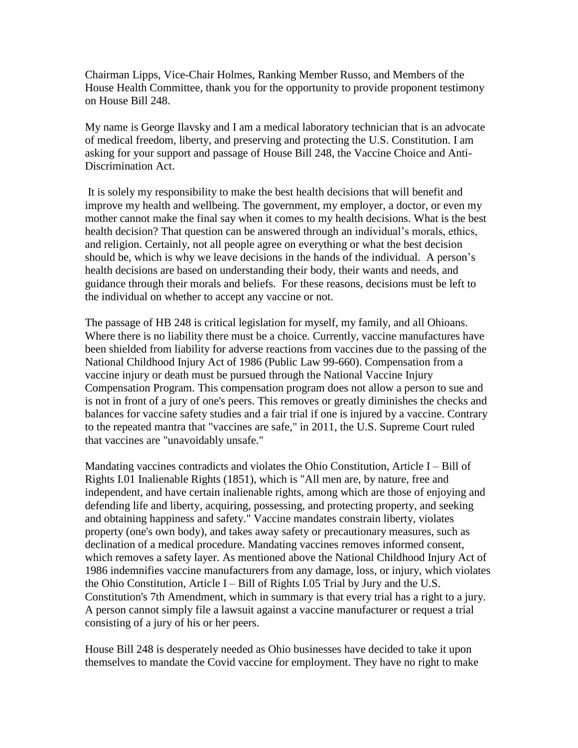Chairman Lipps, Vice-Chair Holmes, Ranking Member Russo, and Members of the House Health Committee, thank you for the opportunity to provide proponent testimony on House Bill 248.

My name is George Ilavsky and I am a medical laboratory technician that is an advocate of medical freedom, liberty, and preserving and protecting the U.S. Constitution. I am asking for your support and passage of House Bill 248, the Vaccine Choice and Anti-Discrimination Act.

It is solely my responsibility to make the best health decisions that will benefit and improve my health and wellbeing. The government, my employer, a doctor, or even my mother cannot make the final say when it comes to my health decisions. What is the best health decision? That question can be answered through an individual's morals, ethics, and religion. Certainly, not all people agree on everything or what the best decision should be, which is why we leave decisions in the hands of the individual. A person's health decisions are based on understanding their body, their wants and needs, and guidance through their morals and beliefs. For these reasons, decisions must be left to the individual on whether to accept any vaccine or not.

The passage of HB 248 is critical legislation for myself, my family, and all Ohioans. Where there is no liability there must be a choice. Currently, vaccine manufactures have been shielded from liability for adverse reactions from vaccines due to the passing of the National Childhood Injury Act of 1986 (Public Law 99-660). Compensation from a vaccine injury or death must be pursued through the National Vaccine Injury Compensation Program. This compensation program does not allow a person to sue and is not in front of a jury of one's peers. This removes or greatly diminishes the checks and balances for vaccine safety studies and a fair trial if one is injured by a vaccine. Contrary to the repeated mantra that "vaccines are safe," in 2011, the U.S. Supreme Court ruled that vaccines are "unavoidably unsafe."

Mandating vaccines contradicts and violates the Ohio Constitution, Article I – Bill of Rights I.01 Inalienable Rights (1851), which is "All men are, by nature, free and independent, and have certain inalienable rights, among which are those of enjoying and defending life and liberty, acquiring, possessing, and protecting property, and seeking and obtaining happiness and safety." Vaccine mandates constrain liberty, violates property (one's own body), and takes away safety or precautionary measures, such as declination of a medical procedure. Mandating vaccines removes informed consent, which removes a safety layer. As mentioned above the National Childhood Injury Act of 1986 indemnifies vaccine manufacturers from any damage, loss, or injury, which violates the Ohio Constitution, Article  $I - Bill$  of Rights I.05 Trial by Jury and the U.S. Constitution's 7th Amendment, which in summary is that every trial has a right to a jury. A person cannot simply file a lawsuit against a vaccine manufacturer or request a trial consisting of a jury of his or her peers.

House Bill 248 is desperately needed as Ohio businesses have decided to take it upon themselves to mandate the Covid vaccine for employment. They have no right to make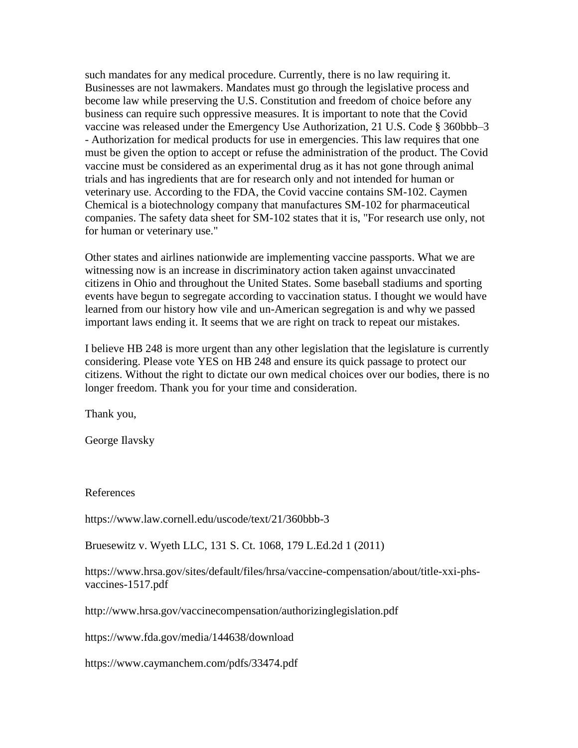such mandates for any medical procedure. Currently, there is no law requiring it. Businesses are not lawmakers. Mandates must go through the legislative process and become law while preserving the U.S. Constitution and freedom of choice before any business can require such oppressive measures. It is important to note that the Covid vaccine was released under the Emergency Use Authorization, 21 U.S. Code § 360bbb–3 - Authorization for medical products for use in emergencies. This law requires that one must be given the option to accept or refuse the administration of the product. The Covid vaccine must be considered as an experimental drug as it has not gone through animal trials and has ingredients that are for research only and not intended for human or veterinary use. According to the FDA, the Covid vaccine contains SM-102. Caymen Chemical is a biotechnology company that manufactures SM-102 for pharmaceutical companies. The safety data sheet for SM-102 states that it is, "For research use only, not for human or veterinary use."

Other states and airlines nationwide are implementing vaccine passports. What we are witnessing now is an increase in discriminatory action taken against unvaccinated citizens in Ohio and throughout the United States. Some baseball stadiums and sporting events have begun to segregate according to vaccination status. I thought we would have learned from our history how vile and un-American segregation is and why we passed important laws ending it. It seems that we are right on track to repeat our mistakes.

I believe HB 248 is more urgent than any other legislation that the legislature is currently considering. Please vote YES on HB 248 and ensure its quick passage to protect our citizens. Without the right to dictate our own medical choices over our bodies, there is no longer freedom. Thank you for your time and consideration.

Thank you,

George Ilavsky

References

<https://www.law.cornell.edu/uscode/text/21/360bbb-3>

Bruesewitz v. Wyeth LLC, 131 S. Ct. 1068, 179 L.Ed.2d 1 (2011)

[https://www.hrsa.gov/sites/default/files/hrsa/vaccine-compensation/about/title-xxi-phs](https://www.hrsa.gov/sites/default/files/hrsa/vaccine-compensation/about/title-xxi-phs-vaccines-1517.pdf)[vaccines-1517.pdf](https://www.hrsa.gov/sites/default/files/hrsa/vaccine-compensation/about/title-xxi-phs-vaccines-1517.pdf)

<http://www.hrsa.gov/vaccinecompensation/authorizinglegislation.pdf>

<https://www.fda.gov/media/144638/download>

<https://www.caymanchem.com/pdfs/33474.pdf>